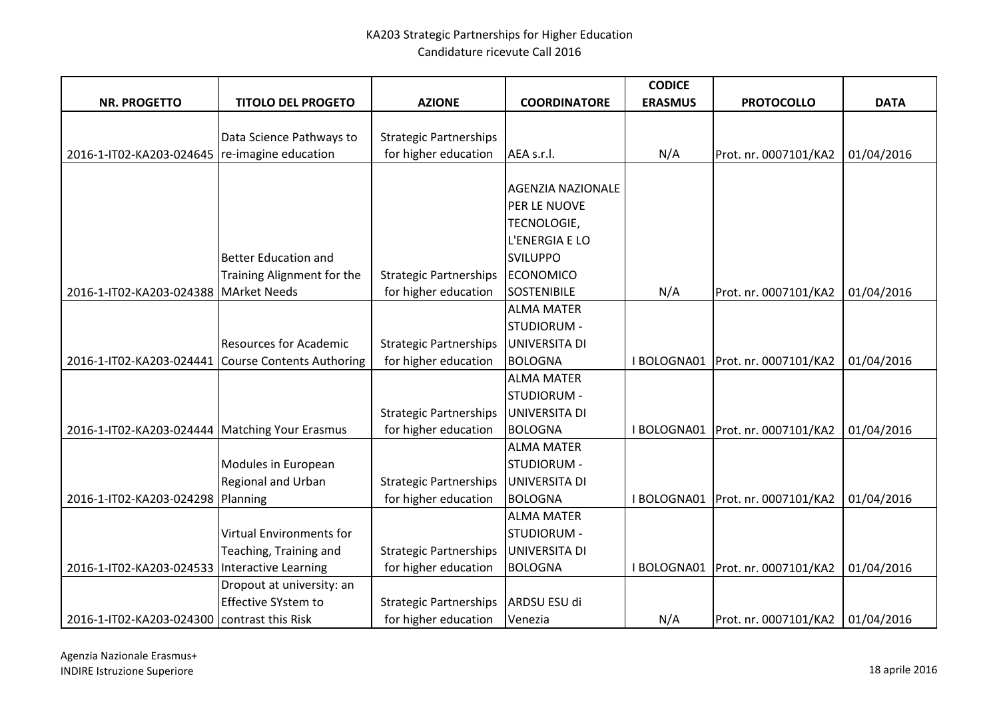|                                                  |                               |                               |                          | <b>CODICE</b>  |                                     |             |
|--------------------------------------------------|-------------------------------|-------------------------------|--------------------------|----------------|-------------------------------------|-------------|
| <b>NR. PROGETTO</b>                              | <b>TITOLO DEL PROGETO</b>     | <b>AZIONE</b>                 | <b>COORDINATORE</b>      | <b>ERASMUS</b> | <b>PROTOCOLLO</b>                   | <b>DATA</b> |
|                                                  |                               |                               |                          |                |                                     |             |
|                                                  | Data Science Pathways to      | <b>Strategic Partnerships</b> |                          |                |                                     |             |
| 2016-1-IT02-KA203-024645                         | re-imagine education          | for higher education          | AEA s.r.l.               | N/A            | Prot. nr. 0007101/KA2               | 01/04/2016  |
|                                                  |                               |                               |                          |                |                                     |             |
|                                                  |                               |                               | <b>AGENZIA NAZIONALE</b> |                |                                     |             |
|                                                  |                               |                               | PER LE NUOVE             |                |                                     |             |
|                                                  |                               |                               | <b>TECNOLOGIE,</b>       |                |                                     |             |
|                                                  |                               |                               | L'ENERGIA E LO           |                |                                     |             |
|                                                  | <b>Better Education and</b>   |                               | <b>SVILUPPO</b>          |                |                                     |             |
|                                                  | Training Alignment for the    | <b>Strategic Partnerships</b> | ECONOMICO                |                |                                     |             |
| 2016-1-IT02-KA203-024388   MArket Needs          |                               | for higher education          | <b>SOSTENIBILE</b>       | N/A            | Prot. nr. 0007101/KA2               | 01/04/2016  |
|                                                  |                               |                               | <b>ALMA MATER</b>        |                |                                     |             |
|                                                  |                               |                               | STUDIORUM -              |                |                                     |             |
|                                                  | <b>Resources for Academic</b> | <b>Strategic Partnerships</b> | UNIVERSITA DI            |                |                                     |             |
| 2016-1-IT02-KA203-024441                         | Course Contents Authoring     | for higher education          | <b>BOLOGNA</b>           | I BOLOGNA01    | Prot. nr. 0007101/KA2               | 01/04/2016  |
|                                                  |                               |                               | <b>ALMA MATER</b>        |                |                                     |             |
|                                                  |                               |                               | STUDIORUM -              |                |                                     |             |
|                                                  |                               | <b>Strategic Partnerships</b> | UNIVERSITA DI            |                |                                     |             |
| 2016-1-IT02-KA203-024444   Matching Your Erasmus |                               | for higher education          | <b>BOLOGNA</b>           | I BOLOGNA01    | Prot. nr. 0007101/KA2               | 01/04/2016  |
|                                                  |                               |                               | <b>ALMA MATER</b>        |                |                                     |             |
|                                                  | Modules in European           |                               | STUDIORUM -              |                |                                     |             |
|                                                  | Regional and Urban            | <b>Strategic Partnerships</b> | UNIVERSITA DI            |                |                                     |             |
| 2016-1-IT02-KA203-024298 Planning                |                               | for higher education          | <b>BOLOGNA</b>           |                | I BOLOGNA01   Prot. nr. 0007101/KA2 | 01/04/2016  |
|                                                  |                               |                               | <b>ALMA MATER</b>        |                |                                     |             |
|                                                  | Virtual Environments for      |                               | STUDIORUM -              |                |                                     |             |
|                                                  | Teaching, Training and        | <b>Strategic Partnerships</b> | UNIVERSITA DI            |                |                                     |             |
| 2016-1-IT02-KA203-024533 Interactive Learning    |                               | for higher education          | <b>BOLOGNA</b>           | I BOLOGNA01    | Prot. nr. 0007101/KA2               | 01/04/2016  |
|                                                  | Dropout at university: an     |                               |                          |                |                                     |             |
|                                                  | <b>Effective SYstem to</b>    | <b>Strategic Partnerships</b> | ARDSU ESU di             |                |                                     |             |
| 2016-1-IT02-KA203-024300   contrast this Risk    |                               | for higher education          | Venezia                  | N/A            | Prot. nr. 0007101/KA2               | 01/04/2016  |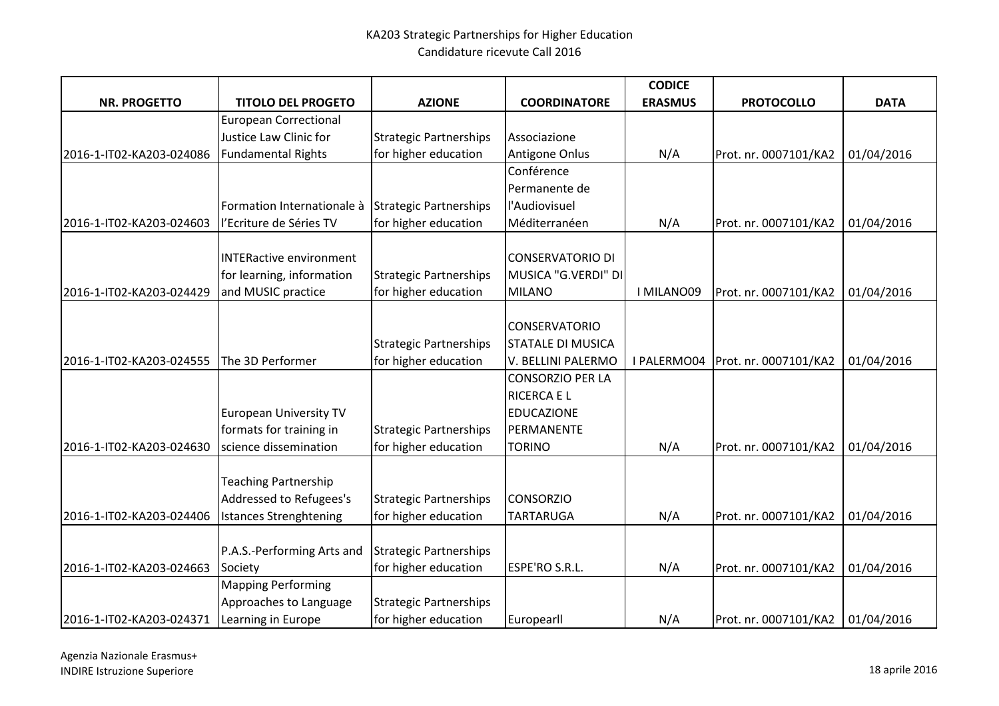|                                             |                                |                               |                          | <b>CODICE</b>  |                       |             |
|---------------------------------------------|--------------------------------|-------------------------------|--------------------------|----------------|-----------------------|-------------|
| <b>NR. PROGETTO</b>                         | <b>TITOLO DEL PROGETO</b>      | <b>AZIONE</b>                 | <b>COORDINATORE</b>      | <b>ERASMUS</b> | <b>PROTOCOLLO</b>     | <b>DATA</b> |
|                                             | <b>European Correctional</b>   |                               |                          |                |                       |             |
|                                             | Justice Law Clinic for         | <b>Strategic Partnerships</b> | Associazione             |                |                       |             |
| 2016-1-IT02-KA203-024086                    | Fundamental Rights             | for higher education          | Antigone Onlus           | N/A            | Prot. nr. 0007101/KA2 | 01/04/2016  |
|                                             |                                |                               | Conférence               |                |                       |             |
|                                             |                                |                               | Permanente de            |                |                       |             |
|                                             | Formation Internationale à     | <b>Strategic Partnerships</b> | l'Audiovisuel            |                |                       |             |
| 2016-1-IT02-KA203-024603                    | l'Ecriture de Séries TV        | for higher education          | Méditerranéen            | N/A            | Prot. nr. 0007101/KA2 | 01/04/2016  |
|                                             |                                |                               |                          |                |                       |             |
|                                             | <b>INTERactive environment</b> |                               | <b>CONSERVATORIO DI</b>  |                |                       |             |
|                                             | for learning, information      | <b>Strategic Partnerships</b> | MUSICA "G.VERDI" DI      |                |                       |             |
| 2016-1-IT02-KA203-024429                    | and MUSIC practice             | for higher education          | <b>MILANO</b>            | I MILANO09     | Prot. nr. 0007101/KA2 | 01/04/2016  |
|                                             |                                |                               |                          |                |                       |             |
|                                             |                                |                               | <b>CONSERVATORIO</b>     |                |                       |             |
|                                             |                                | <b>Strategic Partnerships</b> | <b>STATALE DI MUSICA</b> |                |                       |             |
| 2016-1-IT02-KA203-024555                    | The 3D Performer               | for higher education          | V. BELLINI PALERMO       | I PALERMO04    | Prot. nr. 0007101/KA2 | 01/04/2016  |
|                                             |                                |                               | <b>CONSORZIO PER LA</b>  |                |                       |             |
|                                             |                                |                               | <b>RICERCA E L</b>       |                |                       |             |
|                                             | <b>European University TV</b>  |                               | <b>EDUCAZIONE</b>        |                |                       |             |
|                                             | formats for training in        | <b>Strategic Partnerships</b> | PERMANENTE               |                |                       |             |
| 2016-1-IT02-KA203-024630                    | science dissemination          | for higher education          | <b>TORINO</b>            | N/A            | Prot. nr. 0007101/KA2 | 01/04/2016  |
|                                             |                                |                               |                          |                |                       |             |
|                                             | <b>Teaching Partnership</b>    |                               |                          |                |                       |             |
|                                             | Addressed to Refugees's        | <b>Strategic Partnerships</b> | <b>CONSORZIO</b>         |                |                       |             |
| 2016-1-IT02-KA203-024406                    | <b>Istances Strenghtening</b>  | for higher education          | <b>TARTARUGA</b>         | N/A            | Prot. nr. 0007101/KA2 | 01/04/2016  |
|                                             | P.A.S.-Performing Arts and     | <b>Strategic Partnerships</b> |                          |                |                       |             |
|                                             |                                |                               | ESPE'RO S.R.L.           |                |                       | 01/04/2016  |
| 2016-1-IT02-KA203-024663                    | Society                        | for higher education          |                          | N/A            | Prot. nr. 0007101/KA2 |             |
|                                             | <b>Mapping Performing</b>      |                               |                          |                |                       |             |
|                                             | Approaches to Language         | <b>Strategic Partnerships</b> |                          |                |                       |             |
| 2016-1-IT02-KA203-024371 Learning in Europe |                                | for higher education          | Europearll               | N/A            | Prot. nr. 0007101/KA2 | 01/04/2016  |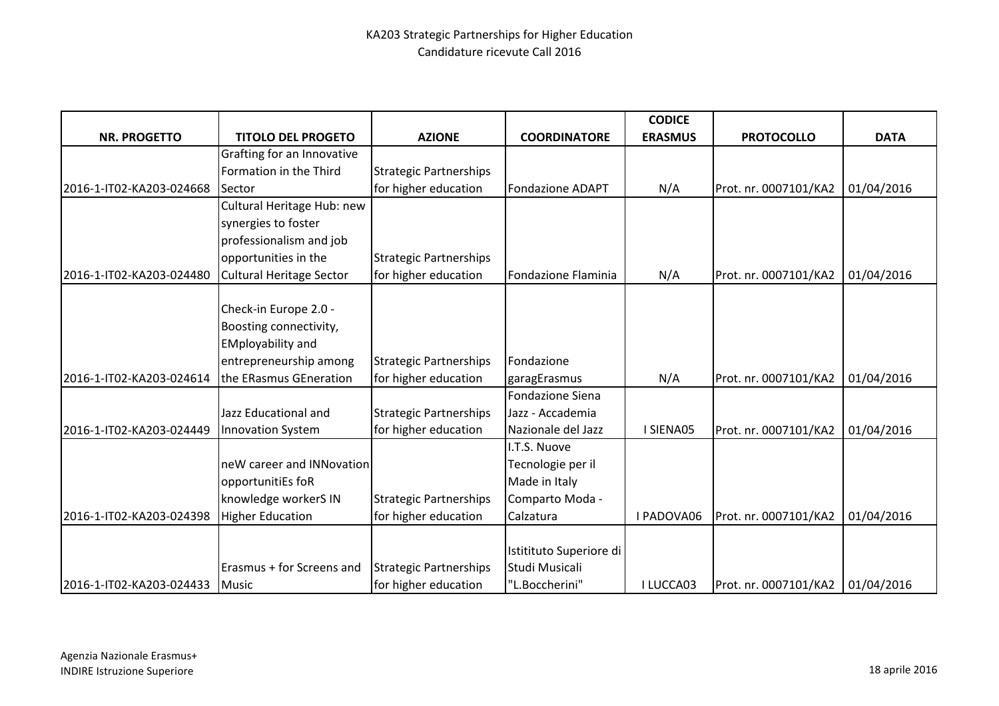|                                |                                 |                               |                         | <b>CODICE</b>  |                       |             |
|--------------------------------|---------------------------------|-------------------------------|-------------------------|----------------|-----------------------|-------------|
| <b>NR. PROGETTO</b>            | <b>TITOLO DEL PROGETO</b>       | <b>AZIONE</b>                 | <b>COORDINATORE</b>     | <b>ERASMUS</b> | <b>PROTOCOLLO</b>     | <b>DATA</b> |
|                                | Grafting for an Innovative      |                               |                         |                |                       |             |
|                                | Formation in the Third          | <b>Strategic Partnerships</b> |                         |                |                       |             |
| 2016-1-IT02-KA203-024668       | Sector                          | for higher education          | <b>Fondazione ADAPT</b> | N/A            | Prot. nr. 0007101/KA2 | 01/04/2016  |
|                                | Cultural Heritage Hub: new      |                               |                         |                |                       |             |
|                                | synergies to foster             |                               |                         |                |                       |             |
|                                | professionalism and job         |                               |                         |                |                       |             |
|                                | opportunities in the            | <b>Strategic Partnerships</b> |                         |                |                       |             |
| 2016-1-IT02-KA203-024480       | <b>Cultural Heritage Sector</b> | for higher education          | Fondazione Flaminia     | N/A            | Prot. nr. 0007101/KA2 | 01/04/2016  |
|                                |                                 |                               |                         |                |                       |             |
|                                | Check-in Europe 2.0 -           |                               |                         |                |                       |             |
|                                | Boosting connectivity,          |                               |                         |                |                       |             |
|                                | <b>EMployability and</b>        |                               |                         |                |                       |             |
|                                | entrepreneurship among          | <b>Strategic Partnerships</b> | Fondazione              |                |                       |             |
| 2016-1-IT02-KA203-024614       | the ERasmus GEneration          | for higher education          | garagErasmus            | N/A            | Prot. nr. 0007101/KA2 | 01/04/2016  |
|                                |                                 |                               | <b>Fondazione Siena</b> |                |                       |             |
|                                | Jazz Educational and            | <b>Strategic Partnerships</b> | Jazz - Accademia        |                |                       |             |
| 2016-1-IT02-KA203-024449       | <b>Innovation System</b>        | for higher education          | Nazionale del Jazz      | I SIENA05      | Prot. nr. 0007101/KA2 | 01/04/2016  |
|                                |                                 |                               | I.T.S. Nuove            |                |                       |             |
|                                | neW career and INNovation       |                               | Tecnologie per il       |                |                       |             |
|                                | opportunitiEs foR               |                               | Made in Italy           |                |                       |             |
|                                | knowledge workerS IN            | <b>Strategic Partnerships</b> | Comparto Moda -         |                |                       |             |
| 2016-1-IT02-KA203-024398       | <b>Higher Education</b>         | for higher education          | Calzatura               | I PADOVA06     | Prot. nr. 0007101/KA2 | 01/04/2016  |
|                                |                                 |                               |                         |                |                       |             |
|                                |                                 |                               | Istitituto Superiore di |                |                       |             |
|                                | Erasmus + for Screens and       | <b>Strategic Partnerships</b> | Studi Musicali          |                |                       |             |
| 2016-1-IT02-KA203-024433 Music |                                 | for higher education          | "L.Boccherini"          | I LUCCA03      | Prot. nr. 0007101/KA2 | 01/04/2016  |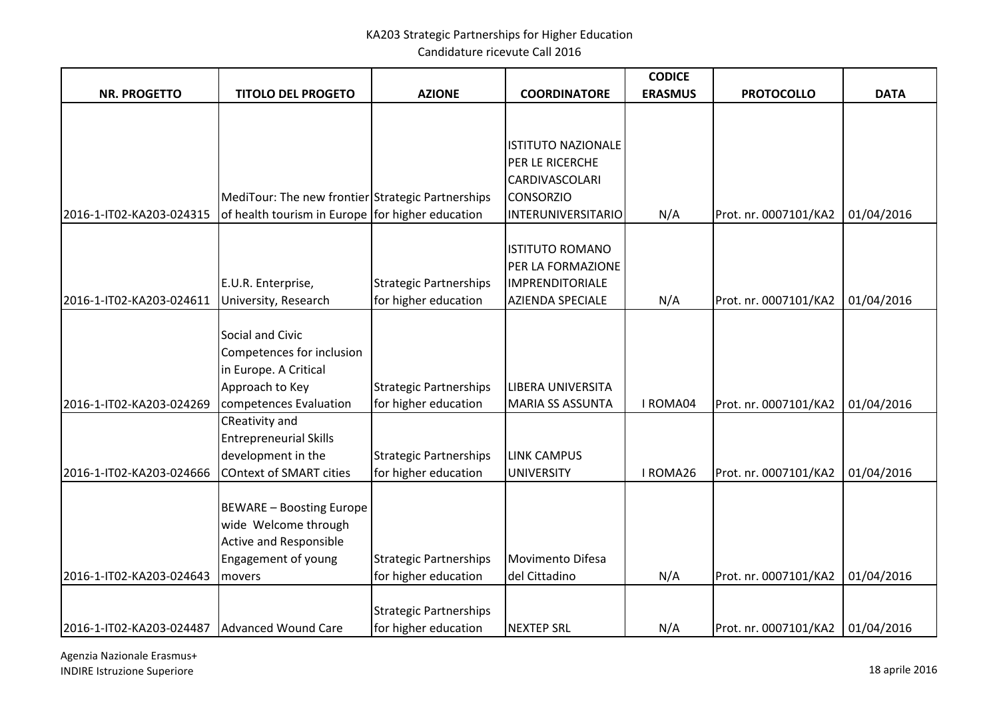Candidature ricevute Call 2016

|                                                |                                                   |                                                       |                                             | <b>CODICE</b>  |                                    |             |
|------------------------------------------------|---------------------------------------------------|-------------------------------------------------------|---------------------------------------------|----------------|------------------------------------|-------------|
| <b>NR. PROGETTO</b>                            | <b>TITOLO DEL PROGETO</b>                         | <b>AZIONE</b>                                         | <b>COORDINATORE</b>                         | <b>ERASMUS</b> | <b>PROTOCOLLO</b>                  | <b>DATA</b> |
|                                                |                                                   |                                                       |                                             |                |                                    |             |
|                                                |                                                   |                                                       |                                             |                |                                    |             |
|                                                |                                                   |                                                       | <b>ISTITUTO NAZIONALE</b>                   |                |                                    |             |
|                                                |                                                   |                                                       | PER LE RICERCHE                             |                |                                    |             |
|                                                |                                                   |                                                       | CARDIVASCOLARI                              |                |                                    |             |
|                                                | MediTour: The new frontier Strategic Partnerships |                                                       | <b>CONSORZIO</b>                            |                |                                    |             |
| 2016-1-IT02-KA203-024315                       | of health tourism in Europe for higher education  |                                                       | <b>INTERUNIVERSITARIO</b>                   | N/A            | Prot. nr. 0007101/KA2              | 01/04/2016  |
|                                                |                                                   |                                                       |                                             |                |                                    |             |
|                                                |                                                   |                                                       | <b>ISTITUTO ROMANO</b>                      |                |                                    |             |
|                                                |                                                   |                                                       | PER LA FORMAZIONE<br><b>IMPRENDITORIALE</b> |                |                                    |             |
| 2016-1-IT02-KA203-024611                       | E.U.R. Enterprise,<br>University, Research        | <b>Strategic Partnerships</b><br>for higher education | <b>AZIENDA SPECIALE</b>                     | N/A            | Prot. nr. 0007101/KA2              | 01/04/2016  |
|                                                |                                                   |                                                       |                                             |                |                                    |             |
|                                                | Social and Civic                                  |                                                       |                                             |                |                                    |             |
|                                                | Competences for inclusion                         |                                                       |                                             |                |                                    |             |
|                                                | in Europe. A Critical                             |                                                       |                                             |                |                                    |             |
|                                                | Approach to Key                                   | <b>Strategic Partnerships</b>                         | <b>LIBERA UNIVERSITA</b>                    |                |                                    |             |
| 2016-1-IT02-KA203-024269                       | competences Evaluation                            | for higher education                                  | <b>MARIA SS ASSUNTA</b>                     | I ROMA04       | Prot. nr. 0007101/KA2              | 01/04/2016  |
|                                                | CReativity and                                    |                                                       |                                             |                |                                    |             |
|                                                | <b>Entrepreneurial Skills</b>                     |                                                       |                                             |                |                                    |             |
|                                                | development in the                                | <b>Strategic Partnerships</b>                         | <b>LINK CAMPUS</b>                          |                |                                    |             |
| 2016-1-IT02-KA203-024666                       | <b>COntext of SMART cities</b>                    | for higher education                                  | <b>UNIVERSITY</b>                           | I ROMA26       | Prot. nr. 0007101/KA2              | 01/04/2016  |
|                                                |                                                   |                                                       |                                             |                |                                    |             |
|                                                | <b>BEWARE - Boosting Europe</b>                   |                                                       |                                             |                |                                    |             |
|                                                | wide Welcome through                              |                                                       |                                             |                |                                    |             |
|                                                | <b>Active and Responsible</b>                     |                                                       |                                             |                |                                    |             |
|                                                | Engagement of young                               | <b>Strategic Partnerships</b>                         | Movimento Difesa                            |                |                                    |             |
| 2016-1-IT02-KA203-024643                       | movers                                            | for higher education                                  | del Cittadino                               | N/A            | Prot. nr. 0007101/KA2              | 01/04/2016  |
|                                                |                                                   |                                                       |                                             |                |                                    |             |
|                                                |                                                   | <b>Strategic Partnerships</b>                         |                                             |                |                                    |             |
| 2016-1-IT02-KA203-024487   Advanced Wound Care |                                                   | for higher education                                  | <b>NEXTEP SRL</b>                           | N/A            | Prot. nr. 0007101/KA2   01/04/2016 |             |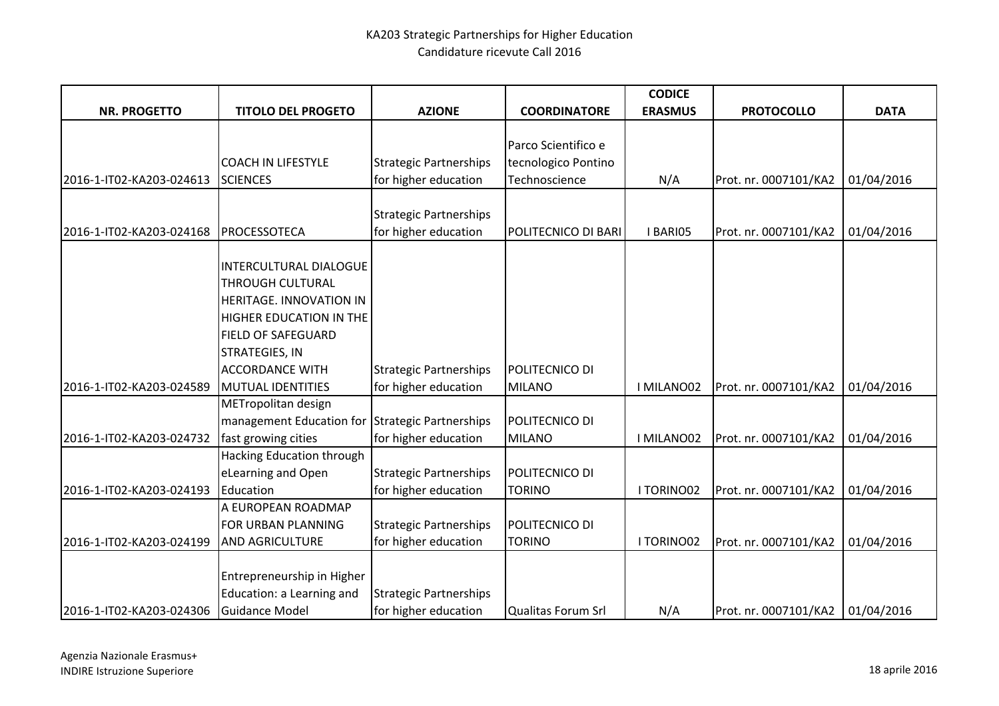|                          |                                                 |                               |                     | <b>CODICE</b>  |                       |             |
|--------------------------|-------------------------------------------------|-------------------------------|---------------------|----------------|-----------------------|-------------|
| <b>NR. PROGETTO</b>      | <b>TITOLO DEL PROGETO</b>                       | <b>AZIONE</b>                 | <b>COORDINATORE</b> | <b>ERASMUS</b> | <b>PROTOCOLLO</b>     | <b>DATA</b> |
|                          |                                                 |                               |                     |                |                       |             |
|                          |                                                 |                               | Parco Scientifico e |                |                       |             |
|                          | <b>COACH IN LIFESTYLE</b>                       | <b>Strategic Partnerships</b> | tecnologico Pontino |                |                       |             |
| 2016-1-IT02-KA203-024613 | <b>SCIENCES</b>                                 | for higher education          | Technoscience       | N/A            | Prot. nr. 0007101/KA2 | 01/04/2016  |
|                          |                                                 | <b>Strategic Partnerships</b> |                     |                |                       |             |
| 2016-1-IT02-KA203-024168 | <b>PROCESSOTECA</b>                             | for higher education          | POLITECNICO DI BARI | I BARIO5       | Prot. nr. 0007101/KA2 | 01/04/2016  |
|                          |                                                 |                               |                     |                |                       |             |
|                          | <b>INTERCULTURAL DIALOGUE</b>                   |                               |                     |                |                       |             |
|                          | THROUGH CULTURAL                                |                               |                     |                |                       |             |
|                          | HERITAGE. INNOVATION IN                         |                               |                     |                |                       |             |
|                          | HIGHER EDUCATION IN THE                         |                               |                     |                |                       |             |
|                          | <b>FIELD OF SAFEGUARD</b>                       |                               |                     |                |                       |             |
|                          | STRATEGIES, IN                                  |                               |                     |                |                       |             |
|                          | <b>ACCORDANCE WITH</b>                          | <b>Strategic Partnerships</b> | POLITECNICO DI      |                |                       |             |
| 2016-1-IT02-KA203-024589 | <b>MUTUAL IDENTITIES</b>                        | for higher education          | <b>MILANO</b>       | I MILANO02     | Prot. nr. 0007101/KA2 | 01/04/2016  |
|                          | METropolitan design                             |                               |                     |                |                       |             |
|                          | management Education for Strategic Partnerships |                               | POLITECNICO DI      |                |                       |             |
| 2016-1-IT02-KA203-024732 | fast growing cities                             | for higher education          | <b>MILANO</b>       | I MILANO02     | Prot. nr. 0007101/KA2 | 01/04/2016  |
|                          | Hacking Education through                       |                               |                     |                |                       |             |
|                          | eLearning and Open                              | <b>Strategic Partnerships</b> | POLITECNICO DI      |                |                       |             |
| 2016-1-IT02-KA203-024193 | Education                                       | for higher education          | <b>TORINO</b>       | I TORINO02     | Prot. nr. 0007101/KA2 | 01/04/2016  |
|                          | A EUROPEAN ROADMAP                              |                               |                     |                |                       |             |
|                          | FOR URBAN PLANNING                              | <b>Strategic Partnerships</b> | POLITECNICO DI      |                |                       |             |
| 2016-1-IT02-KA203-024199 | <b>AND AGRICULTURE</b>                          | for higher education          | <b>TORINO</b>       | I TORINO02     | Prot. nr. 0007101/KA2 | 01/04/2016  |
|                          |                                                 |                               |                     |                |                       |             |
|                          | Entrepreneurship in Higher                      |                               |                     |                |                       |             |
|                          | Education: a Learning and                       | <b>Strategic Partnerships</b> |                     |                |                       |             |
| 2016-1-IT02-KA203-024306 | Guidance Model                                  | for higher education          | Qualitas Forum Srl  | N/A            | Prot. nr. 0007101/KA2 | 01/04/2016  |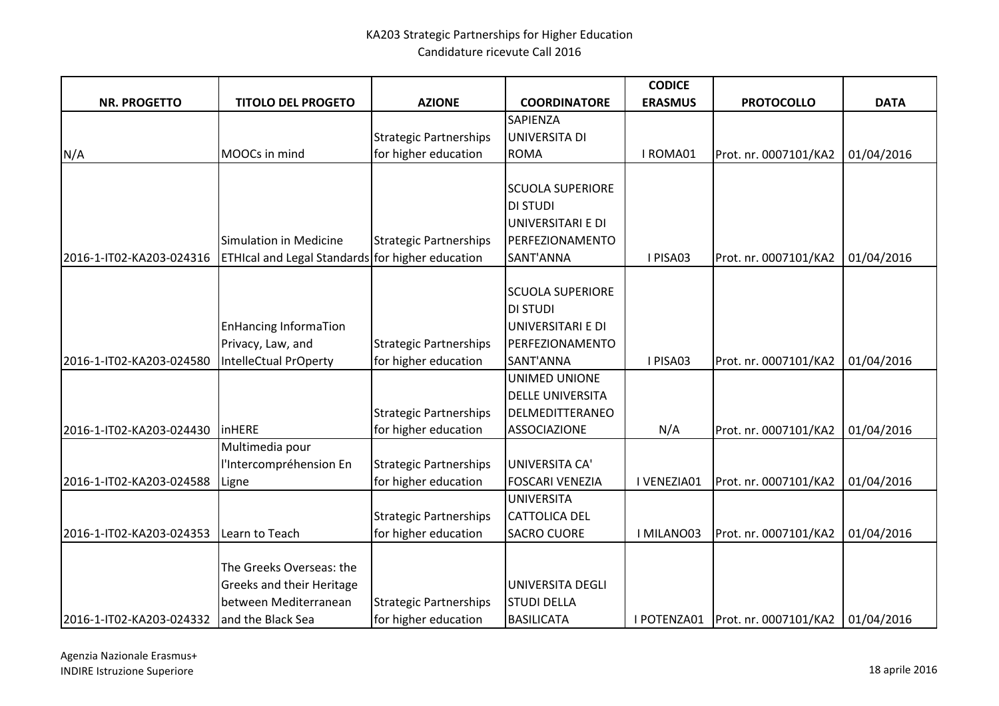|                          |                                                  |                               |                         | <b>CODICE</b>  |                                     |             |
|--------------------------|--------------------------------------------------|-------------------------------|-------------------------|----------------|-------------------------------------|-------------|
| <b>NR. PROGETTO</b>      | <b>TITOLO DEL PROGETO</b>                        | <b>AZIONE</b>                 | <b>COORDINATORE</b>     | <b>ERASMUS</b> | <b>PROTOCOLLO</b>                   | <b>DATA</b> |
|                          |                                                  |                               | SAPIENZA                |                |                                     |             |
|                          |                                                  | <b>Strategic Partnerships</b> | UNIVERSITA DI           |                |                                     |             |
| N/A                      | MOOCs in mind                                    | for higher education          | <b>ROMA</b>             | I ROMA01       | Prot. nr. 0007101/KA2               | 01/04/2016  |
|                          |                                                  |                               |                         |                |                                     |             |
|                          |                                                  |                               | <b>SCUOLA SUPERIORE</b> |                |                                     |             |
|                          |                                                  |                               | <b>DI STUDI</b>         |                |                                     |             |
|                          |                                                  |                               | UNIVERSITARI E DI       |                |                                     |             |
|                          | Simulation in Medicine                           | <b>Strategic Partnerships</b> | PERFEZIONAMENTO         |                |                                     |             |
| 2016-1-IT02-KA203-024316 | ETHIcal and Legal Standards for higher education |                               | SANT'ANNA               | I PISA03       | Prot. nr. 0007101/KA2               | 01/04/2016  |
|                          |                                                  |                               |                         |                |                                     |             |
|                          |                                                  |                               | <b>SCUOLA SUPERIORE</b> |                |                                     |             |
|                          |                                                  |                               | <b>DI STUDI</b>         |                |                                     |             |
|                          | <b>EnHancing InformaTion</b>                     |                               | UNIVERSITARI E DI       |                |                                     |             |
|                          | Privacy, Law, and                                | <b>Strategic Partnerships</b> | PERFEZIONAMENTO         |                |                                     |             |
| 2016-1-IT02-KA203-024580 | IntelleCtual PrOperty                            | for higher education          | SANT'ANNA               | I PISA03       | Prot. nr. 0007101/KA2               | 01/04/2016  |
|                          |                                                  |                               | UNIMED UNIONE           |                |                                     |             |
|                          |                                                  |                               | <b>DELLE UNIVERSITA</b> |                |                                     |             |
|                          |                                                  | <b>Strategic Partnerships</b> | DELMEDITTERANEO         |                |                                     |             |
| 2016-1-IT02-KA203-024430 | <b>InHERE</b>                                    | for higher education          | <b>ASSOCIAZIONE</b>     | N/A            | Prot. nr. 0007101/KA2               | 01/04/2016  |
|                          | Multimedia pour                                  |                               |                         |                |                                     |             |
|                          | l'Intercompréhension En                          | <b>Strategic Partnerships</b> | UNIVERSITA CA'          |                |                                     |             |
| 2016-1-IT02-KA203-024588 | Ligne                                            | for higher education          | <b>FOSCARI VENEZIA</b>  | I VENEZIA01    | Prot. nr. 0007101/KA2               | 01/04/2016  |
|                          |                                                  |                               | <b>UNIVERSITA</b>       |                |                                     |             |
|                          |                                                  | <b>Strategic Partnerships</b> | <b>CATTOLICA DEL</b>    |                |                                     |             |
| 2016-1-IT02-KA203-024353 | Learn to Teach                                   | for higher education          | <b>SACRO CUORE</b>      | I MILANO03     | Prot. nr. 0007101/KA2               | 01/04/2016  |
|                          |                                                  |                               |                         |                |                                     |             |
|                          | The Greeks Overseas: the                         |                               |                         |                |                                     |             |
|                          | Greeks and their Heritage                        |                               | UNIVERSITA DEGLI        |                |                                     |             |
|                          | between Mediterranean                            | <b>Strategic Partnerships</b> | <b>STUDI DELLA</b>      |                |                                     |             |
| 2016-1-IT02-KA203-024332 | and the Black Sea                                | for higher education          | <b>BASILICATA</b>       |                | I POTENZA01   Prot. nr. 0007101/KA2 | 01/04/2016  |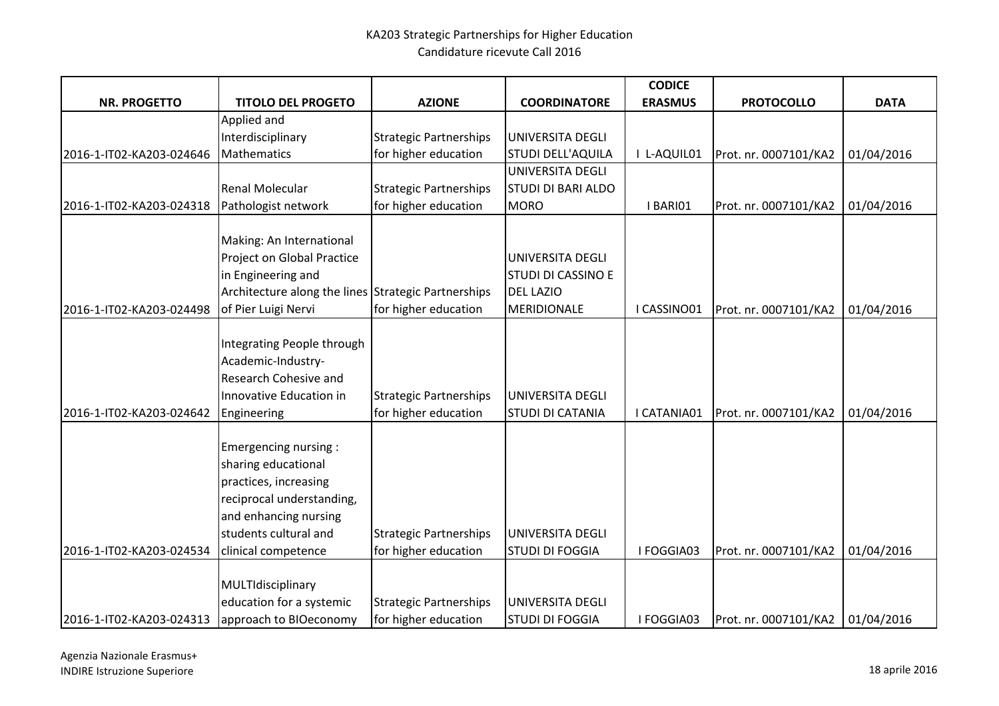|                                                 |                                                                                                                                                                            |                                                       |                                             | <b>CODICE</b>  |                       |             |
|-------------------------------------------------|----------------------------------------------------------------------------------------------------------------------------------------------------------------------------|-------------------------------------------------------|---------------------------------------------|----------------|-----------------------|-------------|
| <b>NR. PROGETTO</b>                             | <b>TITOLO DEL PROGETO</b>                                                                                                                                                  | <b>AZIONE</b>                                         | <b>COORDINATORE</b>                         | <b>ERASMUS</b> | <b>PROTOCOLLO</b>     | <b>DATA</b> |
|                                                 | Applied and                                                                                                                                                                |                                                       |                                             |                |                       |             |
|                                                 | Interdisciplinary                                                                                                                                                          | <b>Strategic Partnerships</b>                         | UNIVERSITA DEGLI                            |                |                       |             |
| 2016-1-IT02-KA203-024646                        | Mathematics                                                                                                                                                                | for higher education                                  | <b>STUDI DELL'AQUILA</b>                    | I L-AQUIL01    | Prot. nr. 0007101/KA2 | 01/04/2016  |
|                                                 |                                                                                                                                                                            |                                                       | UNIVERSITA DEGLI                            |                |                       |             |
|                                                 | Renal Molecular                                                                                                                                                            | <b>Strategic Partnerships</b>                         | <b>STUDI DI BARI ALDO</b>                   |                |                       |             |
| 2016-1-IT02-KA203-024318                        | Pathologist network                                                                                                                                                        | for higher education                                  | <b>MORO</b>                                 | I BARIO1       | Prot. nr. 0007101/KA2 | 01/04/2016  |
|                                                 |                                                                                                                                                                            |                                                       |                                             |                |                       |             |
|                                                 | Making: An International                                                                                                                                                   |                                                       |                                             |                |                       |             |
|                                                 | Project on Global Practice                                                                                                                                                 |                                                       | UNIVERSITA DEGLI                            |                |                       |             |
|                                                 | in Engineering and                                                                                                                                                         |                                                       | <b>STUDI DI CASSINO E</b>                   |                |                       |             |
|                                                 | Architecture along the lines Strategic Partnerships                                                                                                                        |                                                       | <b>DEL LAZIO</b>                            |                |                       |             |
| 2016-1-IT02-KA203-024498                        | of Pier Luigi Nervi                                                                                                                                                        | for higher education                                  | MERIDIONALE                                 | I CASSINO01    | Prot. nr. 0007101/KA2 | 01/04/2016  |
| 2016-1-IT02-KA203-024642                        | Integrating People through<br>Academic-Industry-<br>Research Cohesive and<br>Innovative Education in<br>Engineering                                                        | <b>Strategic Partnerships</b><br>for higher education | UNIVERSITA DEGLI<br><b>STUDI DI CATANIA</b> | I CATANIA01    | Prot. nr. 0007101/KA2 | 01/04/2016  |
| 2016-1-IT02-KA203-024534                        | Emergencing nursing:<br>sharing educational<br>practices, increasing<br>reciprocal understanding,<br>and enhancing nursing<br>students cultural and<br>clinical competence | <b>Strategic Partnerships</b><br>for higher education | UNIVERSITA DEGLI<br><b>STUDI DI FOGGIA</b>  | I FOGGIA03     | Prot. nr. 0007101/KA2 | 01/04/2016  |
|                                                 |                                                                                                                                                                            |                                                       |                                             |                |                       |             |
|                                                 | MULTIdisciplinary                                                                                                                                                          |                                                       |                                             |                |                       |             |
|                                                 | education for a systemic                                                                                                                                                   | <b>Strategic Partnerships</b>                         | <b>UNIVERSITA DEGLI</b>                     |                |                       |             |
| 2016-1-IT02-KA203-024313 approach to BIOeconomy |                                                                                                                                                                            | for higher education                                  | <b>STUDI DI FOGGIA</b>                      | I FOGGIA03     | Prot. nr. 0007101/KA2 | 01/04/2016  |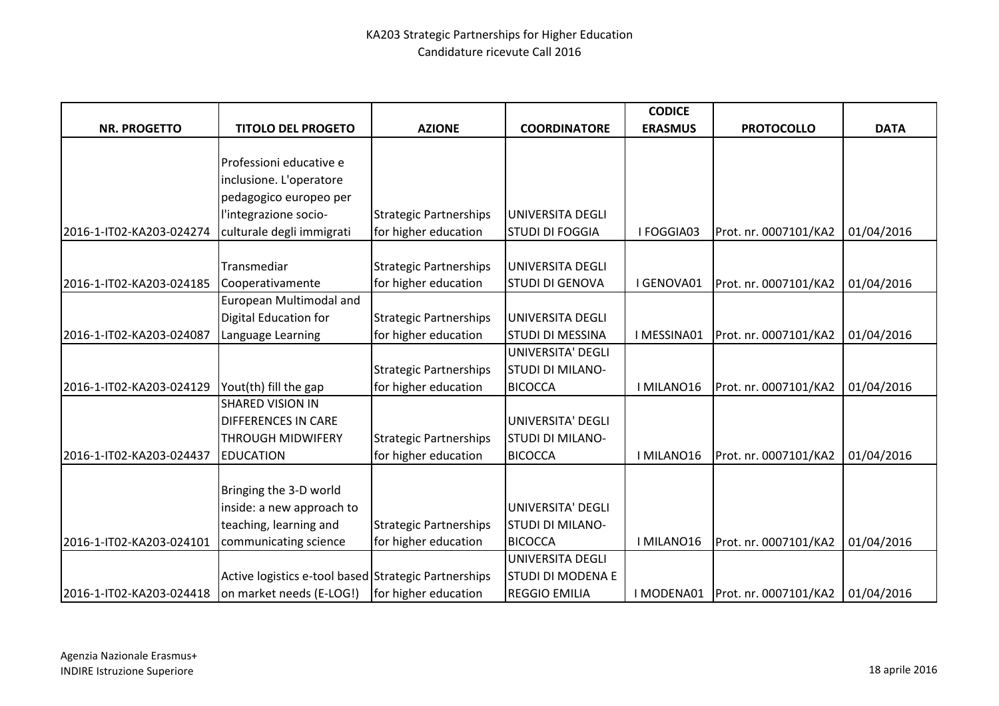|                          |                                                      |                               |                          | <b>CODICE</b>  |                                    |             |
|--------------------------|------------------------------------------------------|-------------------------------|--------------------------|----------------|------------------------------------|-------------|
| <b>NR. PROGETTO</b>      | <b>TITOLO DEL PROGETO</b>                            | <b>AZIONE</b>                 | <b>COORDINATORE</b>      | <b>ERASMUS</b> | <b>PROTOCOLLO</b>                  | <b>DATA</b> |
|                          |                                                      |                               |                          |                |                                    |             |
|                          | Professioni educative e                              |                               |                          |                |                                    |             |
|                          | inclusione. L'operatore                              |                               |                          |                |                                    |             |
|                          | pedagogico europeo per                               |                               |                          |                |                                    |             |
|                          | l'integrazione socio-                                | <b>Strategic Partnerships</b> | UNIVERSITA DEGLI         |                |                                    |             |
| 2016-1-IT02-KA203-024274 | culturale degli immigrati                            | for higher education          | <b>STUDI DI FOGGIA</b>   | I FOGGIA03     | Prot. nr. 0007101/KA2              | 01/04/2016  |
|                          |                                                      |                               |                          |                |                                    |             |
|                          | Transmediar                                          | <b>Strategic Partnerships</b> | UNIVERSITA DEGLI         |                |                                    |             |
| 2016-1-IT02-KA203-024185 | Cooperativamente                                     | for higher education          | <b>STUDI DI GENOVA</b>   | I GENOVA01     | Prot. nr. 0007101/KA2              | 01/04/2016  |
|                          | European Multimodal and                              |                               |                          |                |                                    |             |
|                          | Digital Education for                                | <b>Strategic Partnerships</b> | UNIVERSITA DEGLI         |                |                                    |             |
| 2016-1-IT02-KA203-024087 | Language Learning                                    | for higher education          | <b>STUDI DI MESSINA</b>  | I MESSINA01    | Prot. nr. 0007101/KA2              | 01/04/2016  |
|                          |                                                      |                               | <b>UNIVERSITA' DEGLI</b> |                |                                    |             |
|                          |                                                      | <b>Strategic Partnerships</b> | <b>STUDI DI MILANO-</b>  |                |                                    |             |
| 2016-1-IT02-KA203-024129 | Yout(th) fill the gap                                | for higher education          | <b>BICOCCA</b>           | I MILANO16     | Prot. nr. 0007101/KA2              | 01/04/2016  |
|                          | <b>SHARED VISION IN</b>                              |                               |                          |                |                                    |             |
|                          | <b>DIFFERENCES IN CARE</b>                           |                               | UNIVERSITA' DEGLI        |                |                                    |             |
|                          | <b>THROUGH MIDWIFERY</b>                             | <b>Strategic Partnerships</b> | <b>STUDI DI MILANO-</b>  |                |                                    |             |
| 2016-1-IT02-KA203-024437 | <b>EDUCATION</b>                                     | for higher education          | <b>BICOCCA</b>           | I MILANO16     | Prot. nr. 0007101/KA2              | 01/04/2016  |
|                          |                                                      |                               |                          |                |                                    |             |
|                          | Bringing the 3-D world                               |                               |                          |                |                                    |             |
|                          | inside: a new approach to                            |                               | UNIVERSITA' DEGLI        |                |                                    |             |
|                          | teaching, learning and                               | <b>Strategic Partnerships</b> | <b>STUDI DI MILANO-</b>  |                |                                    |             |
| 2016-1-IT02-KA203-024101 | communicating science                                | for higher education          | <b>BICOCCA</b>           | I MILANO16     | Prot. nr. 0007101/KA2              | 01/04/2016  |
|                          |                                                      |                               | UNIVERSITA DEGLI         |                |                                    |             |
|                          | Active logistics e-tool based Strategic Partnerships |                               | <b>STUDI DI MODENA E</b> |                |                                    |             |
| 2016-1-IT02-KA203-024418 | on market needs (E-LOG!)   for higher education      |                               | <b>REGGIO EMILIA</b>     |                | I MODENA01   Prot. nr. 0007101/KA2 | 01/04/2016  |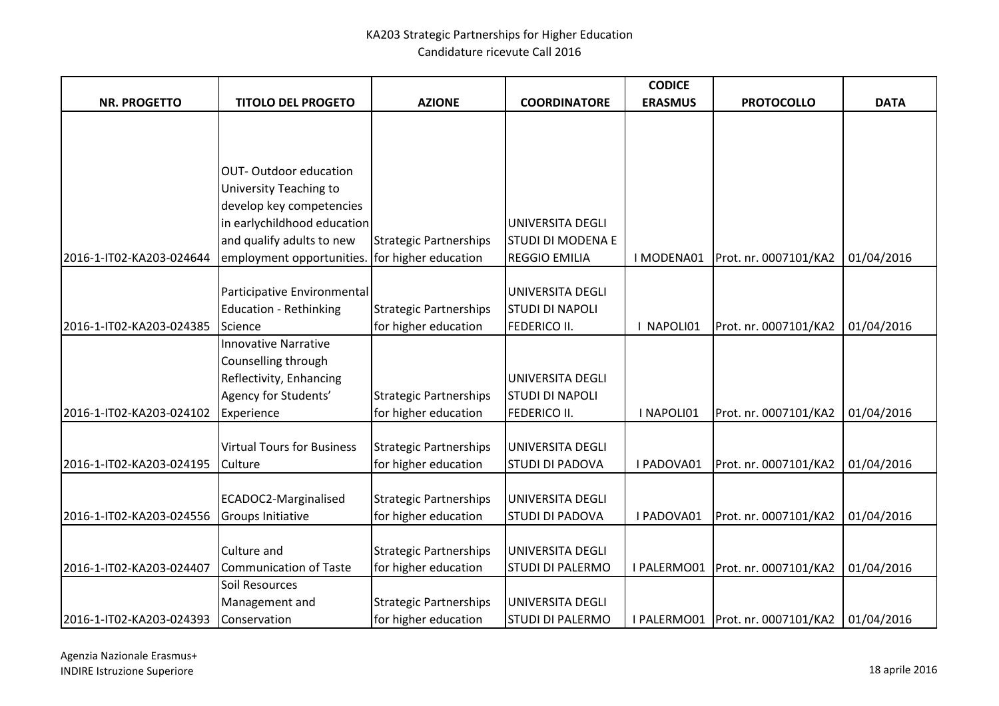|                          |                                                |                               |                          | <b>CODICE</b>  |                                     |             |
|--------------------------|------------------------------------------------|-------------------------------|--------------------------|----------------|-------------------------------------|-------------|
| <b>NR. PROGETTO</b>      | <b>TITOLO DEL PROGETO</b>                      | <b>AZIONE</b>                 | <b>COORDINATORE</b>      | <b>ERASMUS</b> | <b>PROTOCOLLO</b>                   | <b>DATA</b> |
|                          |                                                |                               |                          |                |                                     |             |
|                          |                                                |                               |                          |                |                                     |             |
|                          |                                                |                               |                          |                |                                     |             |
|                          | <b>OUT-Outdoor education</b>                   |                               |                          |                |                                     |             |
|                          | University Teaching to                         |                               |                          |                |                                     |             |
|                          | develop key competencies                       |                               |                          |                |                                     |             |
|                          | in earlychildhood education                    |                               | UNIVERSITA DEGLI         |                |                                     |             |
|                          | and qualify adults to new                      | <b>Strategic Partnerships</b> | <b>STUDI DI MODENA E</b> |                |                                     |             |
| 2016-1-IT02-KA203-024644 | employment opportunities. for higher education |                               | <b>REGGIO EMILIA</b>     | I MODENA01     | Prot. nr. 0007101/KA2               | 01/04/2016  |
|                          |                                                |                               |                          |                |                                     |             |
|                          | Participative Environmental                    |                               | UNIVERSITA DEGLI         |                |                                     |             |
|                          | <b>Education - Rethinking</b>                  | <b>Strategic Partnerships</b> | <b>STUDI DI NAPOLI</b>   |                |                                     |             |
| 2016-1-IT02-KA203-024385 | Science                                        | for higher education          | <b>FEDERICO II.</b>      | NAPOLI01       | Prot. nr. 0007101/KA2               | 01/04/2016  |
|                          | <b>Innovative Narrative</b>                    |                               |                          |                |                                     |             |
|                          | Counselling through                            |                               |                          |                |                                     |             |
|                          | Reflectivity, Enhancing                        |                               | UNIVERSITA DEGLI         |                |                                     |             |
|                          | Agency for Students'                           | <b>Strategic Partnerships</b> | <b>STUDI DI NAPOLI</b>   |                |                                     |             |
| 2016-1-IT02-KA203-024102 | Experience                                     | for higher education          | <b>FEDERICO II.</b>      | I NAPOLI01     | Prot. nr. 0007101/KA2               | 01/04/2016  |
|                          |                                                |                               |                          |                |                                     |             |
|                          | <b>Virtual Tours for Business</b>              | <b>Strategic Partnerships</b> | UNIVERSITA DEGLI         |                |                                     |             |
| 2016-1-IT02-KA203-024195 | Culture                                        | for higher education          | <b>STUDI DI PADOVA</b>   | I PADOVA01     | Prot. nr. 0007101/KA2               | 01/04/2016  |
|                          |                                                |                               |                          |                |                                     |             |
|                          | ECADOC2-Marginalised                           | <b>Strategic Partnerships</b> | UNIVERSITA DEGLI         |                |                                     |             |
| 2016-1-IT02-KA203-024556 | <b>Groups Initiative</b>                       | for higher education          | <b>STUDI DI PADOVA</b>   | I PADOVA01     | Prot. nr. 0007101/KA2               | 01/04/2016  |
|                          |                                                |                               |                          |                |                                     |             |
|                          | Culture and                                    | <b>Strategic Partnerships</b> | <b>UNIVERSITA DEGLI</b>  |                |                                     |             |
| 2016-1-IT02-KA203-024407 | <b>Communication of Taste</b>                  | for higher education          | <b>STUDI DI PALERMO</b>  | I PALERMO01    | Prot. nr. 0007101/KA2               | 01/04/2016  |
|                          | Soil Resources                                 |                               |                          |                |                                     |             |
|                          | Management and                                 | <b>Strategic Partnerships</b> | <b>UNIVERSITA DEGLI</b>  |                |                                     |             |
| 2016-1-IT02-KA203-024393 | Conservation                                   | for higher education          | <b>STUDI DI PALERMO</b>  |                | I PALERMO01   Prot. nr. 0007101/KA2 | 01/04/2016  |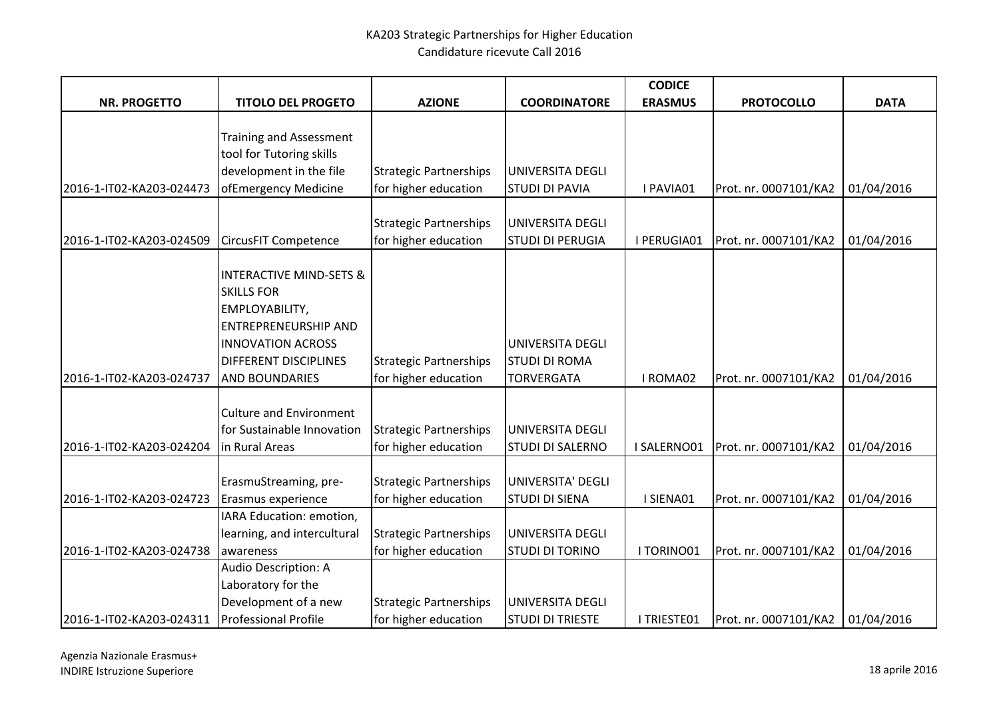|                          |                                    |                               |                         | <b>CODICE</b>  |                       |             |
|--------------------------|------------------------------------|-------------------------------|-------------------------|----------------|-----------------------|-------------|
| <b>NR. PROGETTO</b>      | <b>TITOLO DEL PROGETO</b>          | <b>AZIONE</b>                 | <b>COORDINATORE</b>     | <b>ERASMUS</b> | <b>PROTOCOLLO</b>     | <b>DATA</b> |
|                          |                                    |                               |                         |                |                       |             |
|                          | <b>Training and Assessment</b>     |                               |                         |                |                       |             |
|                          | tool for Tutoring skills           |                               |                         |                |                       |             |
|                          | development in the file            | <b>Strategic Partnerships</b> | UNIVERSITA DEGLI        |                |                       |             |
| 2016-1-IT02-KA203-024473 | ofEmergency Medicine               | for higher education          | <b>STUDI DI PAVIA</b>   | I PAVIA01      | Prot. nr. 0007101/KA2 | 01/04/2016  |
|                          |                                    |                               |                         |                |                       |             |
|                          |                                    | <b>Strategic Partnerships</b> | UNIVERSITA DEGLI        |                |                       |             |
| 2016-1-IT02-KA203-024509 | <b>CircusFIT Competence</b>        | for higher education          | <b>STUDI DI PERUGIA</b> | I PERUGIA01    | Prot. nr. 0007101/KA2 | 01/04/2016  |
|                          | <b>INTERACTIVE MIND-SETS &amp;</b> |                               |                         |                |                       |             |
|                          | <b>SKILLS FOR</b>                  |                               |                         |                |                       |             |
|                          | EMPLOYABILITY,                     |                               |                         |                |                       |             |
|                          | <b>ENTREPRENEURSHIP AND</b>        |                               |                         |                |                       |             |
|                          | <b>INNOVATION ACROSS</b>           |                               | <b>UNIVERSITA DEGLI</b> |                |                       |             |
|                          | DIFFERENT DISCIPLINES              | <b>Strategic Partnerships</b> | <b>STUDI DI ROMA</b>    |                |                       |             |
| 2016-1-IT02-KA203-024737 | <b>AND BOUNDARIES</b>              | for higher education          | <b>TORVERGATA</b>       | I ROMA02       | Prot. nr. 0007101/KA2 | 01/04/2016  |
|                          |                                    |                               |                         |                |                       |             |
|                          | <b>Culture and Environment</b>     |                               |                         |                |                       |             |
|                          | for Sustainable Innovation         | <b>Strategic Partnerships</b> | UNIVERSITA DEGLI        |                |                       |             |
| 2016-1-IT02-KA203-024204 | in Rural Areas                     | for higher education          | <b>STUDI DI SALERNO</b> | I SALERNO01    | Prot. nr. 0007101/KA2 | 01/04/2016  |
|                          |                                    |                               |                         |                |                       |             |
|                          | ErasmuStreaming, pre-              | <b>Strategic Partnerships</b> | UNIVERSITA' DEGLI       |                |                       |             |
| 2016-1-IT02-KA203-024723 | Erasmus experience                 | for higher education          | <b>STUDI DI SIENA</b>   | I SIENA01      | Prot. nr. 0007101/KA2 | 01/04/2016  |
|                          | IARA Education: emotion,           |                               |                         |                |                       |             |
|                          | learning, and intercultural        | <b>Strategic Partnerships</b> | UNIVERSITA DEGLI        |                |                       |             |
| 2016-1-IT02-KA203-024738 | awareness                          | for higher education          | <b>STUDI DI TORINO</b>  | I TORINO01     | Prot. nr. 0007101/KA2 | 01/04/2016  |
|                          | Audio Description: A               |                               |                         |                |                       |             |
|                          | Laboratory for the                 |                               |                         |                |                       |             |
|                          | Development of a new               | <b>Strategic Partnerships</b> | UNIVERSITA DEGLI        |                |                       |             |
| 2016-1-IT02-KA203-024311 | <b>Professional Profile</b>        | for higher education          | <b>STUDI DI TRIESTE</b> | I TRIESTE01    | Prot. nr. 0007101/KA2 | 01/04/2016  |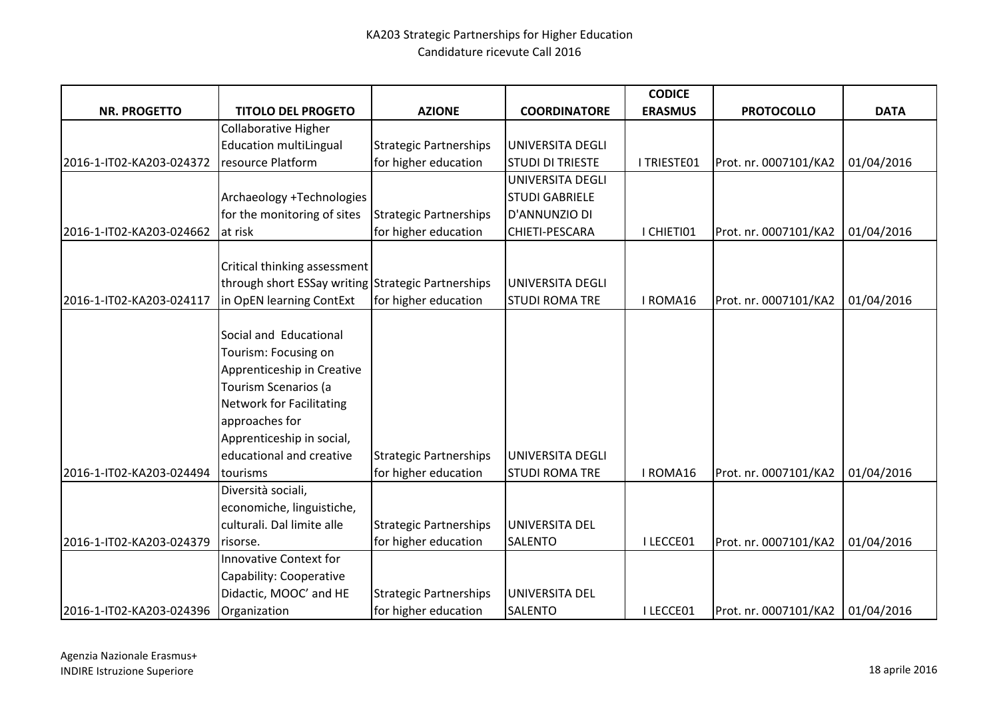|                          |                                                    |                               |                         | <b>CODICE</b>  |                       |             |
|--------------------------|----------------------------------------------------|-------------------------------|-------------------------|----------------|-----------------------|-------------|
| <b>NR. PROGETTO</b>      | <b>TITOLO DEL PROGETO</b>                          | <b>AZIONE</b>                 | <b>COORDINATORE</b>     | <b>ERASMUS</b> | <b>PROTOCOLLO</b>     | <b>DATA</b> |
|                          | Collaborative Higher                               |                               |                         |                |                       |             |
|                          | <b>Education multiLingual</b>                      | <b>Strategic Partnerships</b> | UNIVERSITA DEGLI        |                |                       |             |
| 2016-1-IT02-KA203-024372 | resource Platform                                  | for higher education          | <b>STUDI DI TRIESTE</b> | I TRIESTE01    | Prot. nr. 0007101/KA2 | 01/04/2016  |
|                          |                                                    |                               | UNIVERSITA DEGLI        |                |                       |             |
|                          | Archaeology +Technologies                          |                               | <b>STUDI GABRIELE</b>   |                |                       |             |
|                          | for the monitoring of sites                        | <b>Strategic Partnerships</b> | D'ANNUNZIO DI           |                |                       |             |
| 2016-1-IT02-KA203-024662 | at risk                                            | for higher education          | CHIETI-PESCARA          | I CHIETI01     | Prot. nr. 0007101/KA2 | 01/04/2016  |
|                          |                                                    |                               |                         |                |                       |             |
|                          | Critical thinking assessment                       |                               |                         |                |                       |             |
|                          | through short ESSay writing Strategic Partnerships |                               | UNIVERSITA DEGLI        |                |                       |             |
| 2016-1-IT02-KA203-024117 | in OpEN learning ContExt                           | for higher education          | <b>STUDI ROMA TRE</b>   | I ROMA16       | Prot. nr. 0007101/KA2 | 01/04/2016  |
|                          |                                                    |                               |                         |                |                       |             |
|                          | Social and Educational                             |                               |                         |                |                       |             |
|                          | Tourism: Focusing on                               |                               |                         |                |                       |             |
|                          | Apprenticeship in Creative                         |                               |                         |                |                       |             |
|                          | Tourism Scenarios (a                               |                               |                         |                |                       |             |
|                          | <b>Network for Facilitating</b>                    |                               |                         |                |                       |             |
|                          | approaches for                                     |                               |                         |                |                       |             |
|                          | Apprenticeship in social,                          |                               |                         |                |                       |             |
|                          | educational and creative                           | <b>Strategic Partnerships</b> | UNIVERSITA DEGLI        |                |                       |             |
| 2016-1-IT02-KA203-024494 | tourisms                                           | for higher education          | <b>STUDI ROMA TRE</b>   | I ROMA16       | Prot. nr. 0007101/KA2 | 01/04/2016  |
|                          | Diversità sociali,                                 |                               |                         |                |                       |             |
|                          | economiche, linguistiche,                          |                               |                         |                |                       |             |
|                          | culturali. Dal limite alle                         | <b>Strategic Partnerships</b> | UNIVERSITA DEL          |                |                       |             |
| 2016-1-IT02-KA203-024379 | risorse.                                           | for higher education          | <b>SALENTO</b>          | I LECCE01      | Prot. nr. 0007101/KA2 | 01/04/2016  |
|                          | <b>Innovative Context for</b>                      |                               |                         |                |                       |             |
|                          | Capability: Cooperative                            |                               |                         |                |                       |             |
|                          | Didactic, MOOC' and HE                             | <b>Strategic Partnerships</b> | UNIVERSITA DEL          |                |                       |             |
| 2016-1-IT02-KA203-024396 | Organization                                       | for higher education          | <b>SALENTO</b>          | I LECCE01      | Prot. nr. 0007101/KA2 | 01/04/2016  |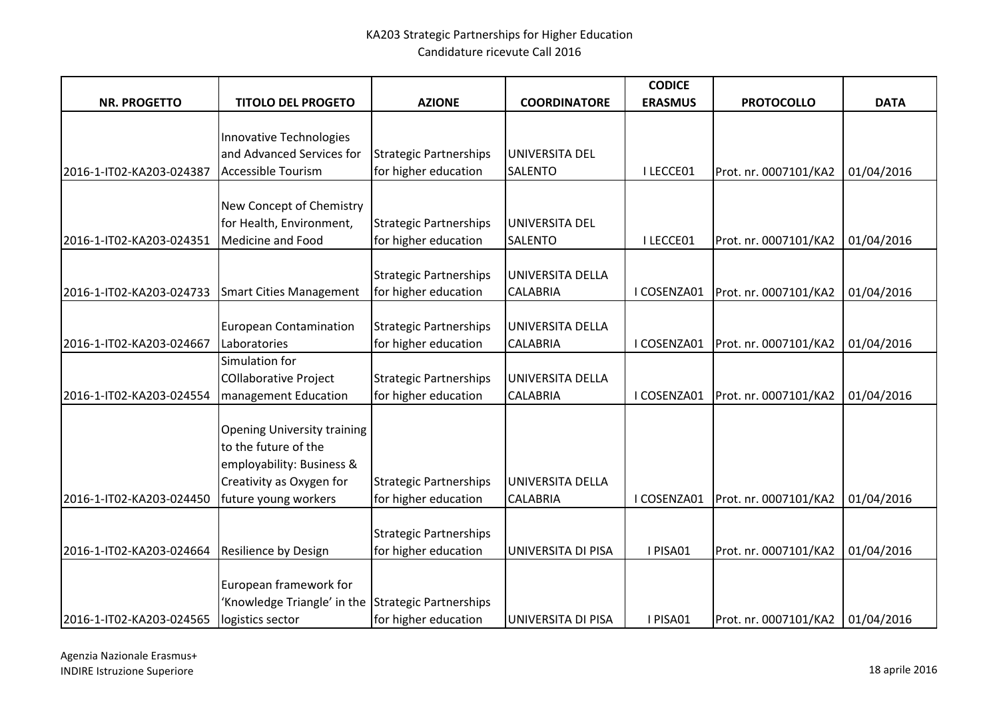|                                                  |                                                    |                               |                     | <b>CODICE</b>  |                       |             |
|--------------------------------------------------|----------------------------------------------------|-------------------------------|---------------------|----------------|-----------------------|-------------|
| <b>NR. PROGETTO</b>                              | <b>TITOLO DEL PROGETO</b>                          | <b>AZIONE</b>                 | <b>COORDINATORE</b> | <b>ERASMUS</b> | <b>PROTOCOLLO</b>     | <b>DATA</b> |
|                                                  |                                                    |                               |                     |                |                       |             |
|                                                  | Innovative Technologies                            |                               |                     |                |                       |             |
|                                                  | and Advanced Services for                          | <b>Strategic Partnerships</b> | UNIVERSITA DEL      |                |                       |             |
| 2016-1-IT02-KA203-024387                         | Accessible Tourism                                 | for higher education          | SALENTO             | I LECCE01      | Prot. nr. 0007101/KA2 | 01/04/2016  |
|                                                  |                                                    |                               |                     |                |                       |             |
|                                                  | New Concept of Chemistry                           |                               |                     |                |                       |             |
|                                                  | for Health, Environment,                           | <b>Strategic Partnerships</b> | UNIVERSITA DEL      |                |                       |             |
| 2016-1-IT02-KA203-024351                         | Medicine and Food                                  | for higher education          | <b>SALENTO</b>      | I LECCE01      | Prot. nr. 0007101/KA2 | 01/04/2016  |
|                                                  |                                                    |                               |                     |                |                       |             |
|                                                  |                                                    | <b>Strategic Partnerships</b> | UNIVERSITA DELLA    |                |                       |             |
| 2016-1-IT02-KA203-024733 Smart Cities Management |                                                    | for higher education          | <b>CALABRIA</b>     | I COSENZA01    | Prot. nr. 0007101/KA2 | 01/04/2016  |
|                                                  |                                                    |                               |                     |                |                       |             |
|                                                  | <b>European Contamination</b>                      | <b>Strategic Partnerships</b> | UNIVERSITA DELLA    |                |                       |             |
| 2016-1-IT02-KA203-024667                         | Laboratories                                       | for higher education          | <b>CALABRIA</b>     | I COSENZA01    | Prot. nr. 0007101/KA2 | 01/04/2016  |
|                                                  | Simulation for                                     |                               |                     |                |                       |             |
|                                                  | <b>COllaborative Project</b>                       | <b>Strategic Partnerships</b> | UNIVERSITA DELLA    |                |                       |             |
| 2016-1-IT02-KA203-024554                         | management Education                               | for higher education          | <b>CALABRIA</b>     | I COSENZA01    | Prot. nr. 0007101/KA2 | 01/04/2016  |
|                                                  |                                                    |                               |                     |                |                       |             |
|                                                  | <b>Opening University training</b>                 |                               |                     |                |                       |             |
|                                                  | to the future of the                               |                               |                     |                |                       |             |
|                                                  | employability: Business &                          |                               |                     |                |                       |             |
|                                                  | Creativity as Oxygen for                           | <b>Strategic Partnerships</b> | UNIVERSITA DELLA    |                |                       |             |
| 2016-1-IT02-KA203-024450                         | future young workers                               | for higher education          | <b>CALABRIA</b>     | I COSENZA01    | Prot. nr. 0007101/KA2 | 01/04/2016  |
|                                                  |                                                    |                               |                     |                |                       |             |
|                                                  |                                                    | <b>Strategic Partnerships</b> |                     |                |                       |             |
| 2016-1-IT02-KA203-024664                         | <b>Resilience by Design</b>                        | for higher education          | UNIVERSITA DI PISA  | I PISA01       | Prot. nr. 0007101/KA2 | 01/04/2016  |
|                                                  |                                                    |                               |                     |                |                       |             |
|                                                  | European framework for                             |                               |                     |                |                       |             |
|                                                  | 'Knowledge Triangle' in the Strategic Partnerships |                               | UNIVERSITA DI PISA  | I PISA01       |                       |             |
| 2016-1-IT02-KA203-024565                         | logistics sector                                   | for higher education          |                     |                | Prot. nr. 0007101/KA2 | 01/04/2016  |